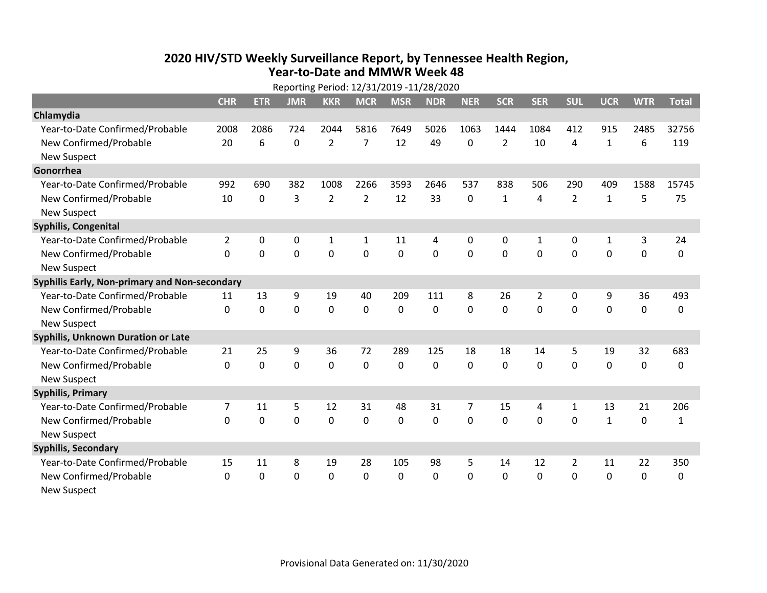## **2020 HIV /STD Weekly Surveillance Report, by Tennessee Health Region, Year‐to‐Date and MMWR Week 48**

|                                               | Reporting Period: 12/31/2019 -11/28/2020 |             |             |                |                |            |            |                |                |                |                |              |             |              |
|-----------------------------------------------|------------------------------------------|-------------|-------------|----------------|----------------|------------|------------|----------------|----------------|----------------|----------------|--------------|-------------|--------------|
|                                               | <b>CHR</b>                               | <b>ETR</b>  | <b>JMR</b>  | <b>KKR</b>     | <b>MCR</b>     | <b>MSR</b> | <b>NDR</b> | <b>NER</b>     | <b>SCR</b>     | <b>SER</b>     | <b>SUL</b>     | <b>UCR</b>   | <b>WTR</b>  | <b>Total</b> |
| Chlamydia                                     |                                          |             |             |                |                |            |            |                |                |                |                |              |             |              |
| Year-to-Date Confirmed/Probable               | 2008                                     | 2086        | 724         | 2044           | 5816           | 7649       | 5026       | 1063           | 1444           | 1084           | 412            | 915          | 2485        | 32756        |
| New Confirmed/Probable                        | 20                                       | 6           | 0           | $\overline{2}$ | 7              | 12         | 49         | 0              | $\overline{2}$ | 10             | 4              | 1            | 6           | 119          |
| <b>New Suspect</b>                            |                                          |             |             |                |                |            |            |                |                |                |                |              |             |              |
| Gonorrhea                                     |                                          |             |             |                |                |            |            |                |                |                |                |              |             |              |
| Year-to-Date Confirmed/Probable               | 992                                      | 690         | 382         | 1008           | 2266           | 3593       | 2646       | 537            | 838            | 506            | 290            | 409          | 1588        | 15745        |
| New Confirmed/Probable                        | 10                                       | $\mathbf 0$ | 3           | $\overline{2}$ | $\overline{2}$ | 12         | 33         | $\mathbf{0}$   | 1              | 4              | $\overline{2}$ | $\mathbf{1}$ | 5           | 75           |
| New Suspect                                   |                                          |             |             |                |                |            |            |                |                |                |                |              |             |              |
| <b>Syphilis, Congenital</b>                   |                                          |             |             |                |                |            |            |                |                |                |                |              |             |              |
| Year-to-Date Confirmed/Probable               | $\overline{2}$                           | 0           | 0           | $\mathbf{1}$   | $\mathbf{1}$   | 11         | 4          | 0              | 0              | 1              | $\mathbf 0$    | $\mathbf{1}$ | 3           | 24           |
| New Confirmed/Probable                        | $\Omega$                                 | $\mathbf 0$ | $\mathbf 0$ | 0              | 0              | 0          | 0          | 0              | 0              | 0              | 0              | 0            | $\mathbf 0$ | 0            |
| <b>New Suspect</b>                            |                                          |             |             |                |                |            |            |                |                |                |                |              |             |              |
| Syphilis Early, Non-primary and Non-secondary |                                          |             |             |                |                |            |            |                |                |                |                |              |             |              |
| Year-to-Date Confirmed/Probable               | 11                                       | 13          | 9           | 19             | 40             | 209        | 111        | 8              | 26             | $\overline{2}$ | $\mathbf 0$    | 9            | 36          | 493          |
| New Confirmed/Probable                        | 0                                        | $\mathbf 0$ | $\mathbf 0$ | 0              | $\mathbf 0$    | 0          | 0          | 0              | 0              | 0              | $\mathbf 0$    | 0            | $\pmb{0}$   | 0            |
| <b>New Suspect</b>                            |                                          |             |             |                |                |            |            |                |                |                |                |              |             |              |
| Syphilis, Unknown Duration or Late            |                                          |             |             |                |                |            |            |                |                |                |                |              |             |              |
| Year-to-Date Confirmed/Probable               | 21                                       | 25          | 9           | 36             | 72             | 289        | 125        | 18             | 18             | 14             | 5              | 19           | 32          | 683          |
| New Confirmed/Probable                        | $\Omega$                                 | $\mathbf 0$ | $\mathbf 0$ | 0              | 0              | 0          | $\Omega$   | $\Omega$       | $\Omega$       | 0              | $\mathbf 0$    | 0            | $\mathbf 0$ | 0            |
| <b>New Suspect</b>                            |                                          |             |             |                |                |            |            |                |                |                |                |              |             |              |
| <b>Syphilis, Primary</b>                      |                                          |             |             |                |                |            |            |                |                |                |                |              |             |              |
| Year-to-Date Confirmed/Probable               | 7                                        | 11          | 5           | 12             | 31             | 48         | 31         | $\overline{7}$ | 15             | 4              | 1              | 13           | 21          | 206          |
| New Confirmed/Probable                        | $\Omega$                                 | $\Omega$    | 0           | 0              | $\mathbf{0}$   | $\Omega$   | 0          | $\Omega$       | $\mathbf{0}$   | 0              | $\mathbf 0$    | $\mathbf{1}$ | 0           | $\mathbf{1}$ |
| <b>New Suspect</b>                            |                                          |             |             |                |                |            |            |                |                |                |                |              |             |              |
| <b>Syphilis, Secondary</b>                    |                                          |             |             |                |                |            |            |                |                |                |                |              |             |              |
| Year-to-Date Confirmed/Probable               | 15                                       | 11          | 8           | 19             | 28             | 105        | 98         | 5              | 14             | 12             | 2              | 11           | 22          | 350          |
| New Confirmed/Probable                        | 0                                        | $\Omega$    | $\mathbf 0$ | 0              | 0              | 0          | 0          | 0              | $\mathbf{0}$   | 0              | $\mathbf 0$    | 0            | $\mathbf 0$ | $\Omega$     |
| <b>New Suspect</b>                            |                                          |             |             |                |                |            |            |                |                |                |                |              |             |              |